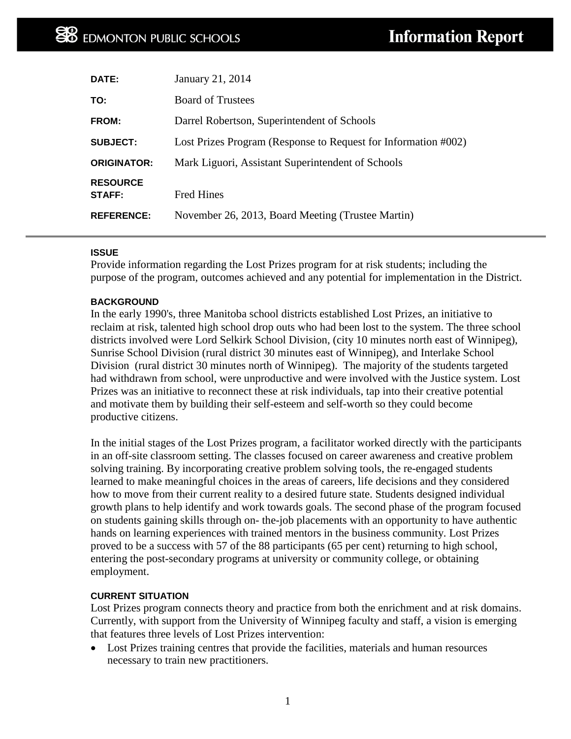| DATE:                     | January 21, 2014                                               |
|---------------------------|----------------------------------------------------------------|
| TO:                       | <b>Board of Trustees</b>                                       |
| FROM:                     | Darrel Robertson, Superintendent of Schools                    |
| <b>SUBJECT:</b>           | Lost Prizes Program (Response to Request for Information #002) |
| <b>ORIGINATOR:</b>        | Mark Liguori, Assistant Superintendent of Schools              |
| <b>RESOURCE</b><br>STAFF: | <b>Fred Hines</b>                                              |
|                           |                                                                |
| <b>REFERENCE:</b>         | November 26, 2013, Board Meeting (Trustee Martin)              |

### **ISSUE**

Provide information regarding the Lost Prizes program for at risk students; including the purpose of the program, outcomes achieved and any potential for implementation in the District.

#### **BACKGROUND**

In the early 1990's, three Manitoba school districts established Lost Prizes, an initiative to reclaim at risk, talented high school drop outs who had been lost to the system. The three school districts involved were Lord Selkirk School Division, (city 10 minutes north east of Winnipeg), Sunrise School Division (rural district 30 minutes east of Winnipeg), and Interlake School Division (rural district 30 minutes north of Winnipeg). The majority of the students targeted had withdrawn from school, were unproductive and were involved with the Justice system. Lost Prizes was an initiative to reconnect these at risk individuals, tap into their creative potential and motivate them by building their self-esteem and self-worth so they could become productive citizens.

In the initial stages of the Lost Prizes program, a facilitator worked directly with the participants in an off-site classroom setting. The classes focused on career awareness and creative problem solving training. By incorporating creative problem solving tools, the re-engaged students learned to make meaningful choices in the areas of careers, life decisions and they considered how to move from their current reality to a desired future state. Students designed individual growth plans to help identify and work towards goals. The second phase of the program focused on students gaining skills through on- the-job placements with an opportunity to have authentic hands on learning experiences with trained mentors in the business community. Lost Prizes proved to be a success with 57 of the 88 participants (65 per cent) returning to high school, entering the post-secondary programs at university or community college, or obtaining employment.

#### **CURRENT SITUATION**

Lost Prizes program connects theory and practice from both the enrichment and at risk domains. Currently, with support from the University of Winnipeg faculty and staff, a vision is emerging that features three levels of Lost Prizes intervention:

• Lost Prizes training centres that provide the facilities, materials and human resources necessary to train new practitioners.